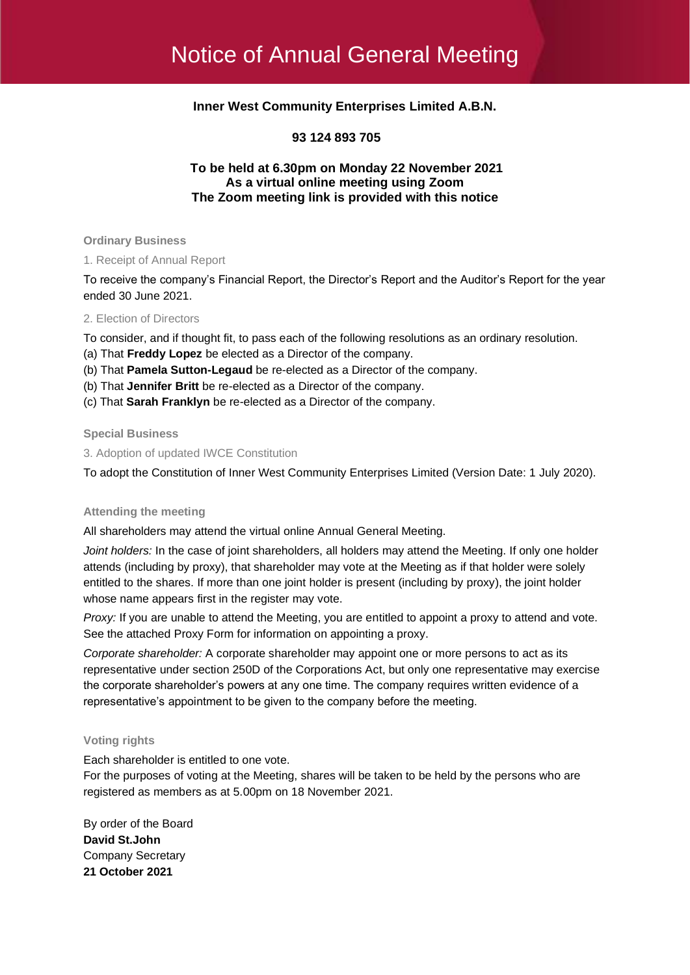# **Inner West Community Enterprises Limited A.B.N.**

### **93 124 893 705**

### **To be held at 6.30pm on Monday 22 November 2021 As a virtual online meeting using Zoom The Zoom meeting link is provided with this notice**

**Ordinary Business**

1. Receipt of Annual Report

To receive the company's Financial Report, the Director's Report and the Auditor's Report for the year ended 30 June 2021.

#### 2. Election of Directors

To consider, and if thought fit, to pass each of the following resolutions as an ordinary resolution.

- (a) That **Freddy Lopez** be elected as a Director of the company.
- (b) That **Pamela Sutton-Legaud** be re-elected as a Director of the company.
- (b) That **Jennifer Britt** be re-elected as a Director of the company.
- (c) That **Sarah Franklyn** be re-elected as a Director of the company.

**Special Business**

3. Adoption of updated IWCE Constitution

To adopt the Constitution of Inner West Community Enterprises Limited (Version Date: 1 July 2020).

#### **Attending the meeting**

All shareholders may attend the virtual online Annual General Meeting.

*Joint holders:* In the case of joint shareholders, all holders may attend the Meeting. If only one holder attends (including by proxy), that shareholder may vote at the Meeting as if that holder were solely entitled to the shares. If more than one joint holder is present (including by proxy), the joint holder whose name appears first in the register may vote.

*Proxy:* If you are unable to attend the Meeting, you are entitled to appoint a proxy to attend and vote. See the attached Proxy Form for information on appointing a proxy.

*Corporate shareholder:* A corporate shareholder may appoint one or more persons to act as its representative under section 250D of the Corporations Act, but only one representative may exercise the corporate shareholder's powers at any one time. The company requires written evidence of a representative's appointment to be given to the company before the meeting.

#### **Voting rights**

Each shareholder is entitled to one vote.

For the purposes of voting at the Meeting, shares will be taken to be held by the persons who are registered as members as at 5.00pm on 18 November 2021.

By order of the Board **David St.John** Company Secretary **21 October 2021**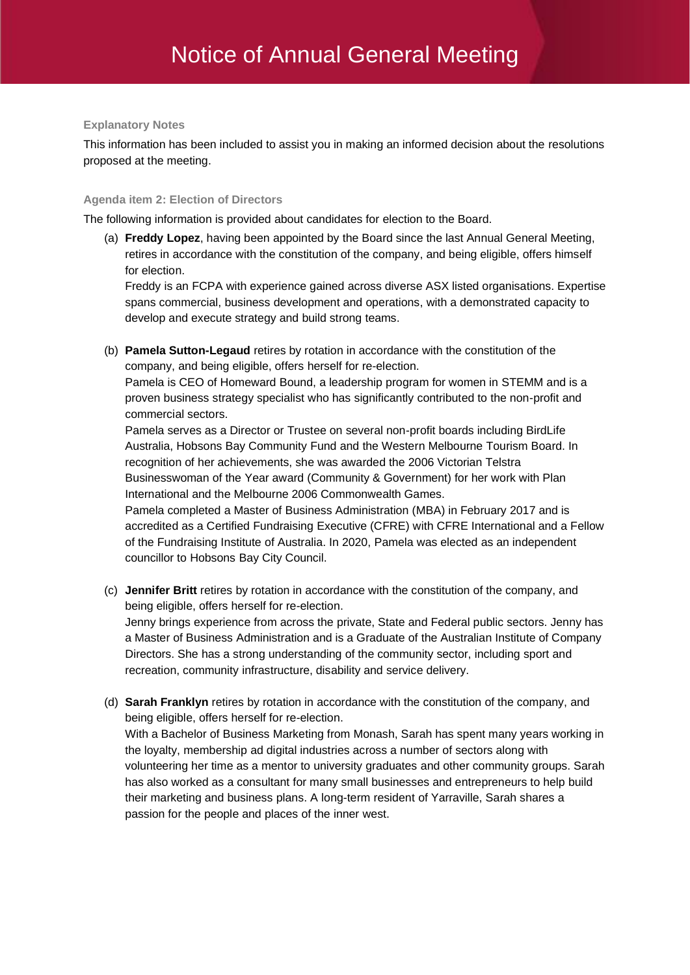### **Explanatory Notes**

This information has been included to assist you in making an informed decision about the resolutions proposed at the meeting.

## **Agenda item 2: Election of Directors**

The following information is provided about candidates for election to the Board.

(a) **Freddy Lopez**, having been appointed by the Board since the last Annual General Meeting, retires in accordance with the constitution of the company, and being eligible, offers himself for election.

Freddy is an FCPA with experience gained across diverse ASX listed organisations. Expertise spans commercial, business development and operations, with a demonstrated capacity to develop and execute strategy and build strong teams.

(b) **Pamela Sutton-Legaud** retires by rotation in accordance with the constitution of the company, and being eligible, offers herself for re-election.

Pamela is CEO of Homeward Bound, a leadership program for women in STEMM and is a proven business strategy specialist who has significantly contributed to the non-profit and commercial sectors.

Pamela serves as a Director or Trustee on several non-profit boards including BirdLife Australia, Hobsons Bay Community Fund and the Western Melbourne Tourism Board. In recognition of her achievements, she was awarded the 2006 Victorian Telstra Businesswoman of the Year award (Community & Government) for her work with Plan International and the Melbourne 2006 Commonwealth Games.

Pamela completed a Master of Business Administration (MBA) in February 2017 and is accredited as a Certified Fundraising Executive (CFRE) with CFRE International and a Fellow of the Fundraising Institute of Australia. In 2020, Pamela was elected as an independent councillor to Hobsons Bay City Council.

(c) **Jennifer Britt** retires by rotation in accordance with the constitution of the company, and being eligible, offers herself for re-election. Jenny brings experience from across the private, State and Federal public sectors. Jenny has a Master of Business Administration and is a Graduate of the Australian Institute of Company

Directors. She has a strong understanding of the community sector, including sport and recreation, community infrastructure, disability and service delivery.

(d) **Sarah Franklyn** retires by rotation in accordance with the constitution of the company, and being eligible, offers herself for re-election.

With a Bachelor of Business Marketing from Monash, Sarah has spent many years working in the loyalty, membership ad digital industries across a number of sectors along with volunteering her time as a mentor to university graduates and other community groups. Sarah has also worked as a consultant for many small businesses and entrepreneurs to help build their marketing and business plans. A long-term resident of Yarraville, Sarah shares a passion for the people and places of the inner west.